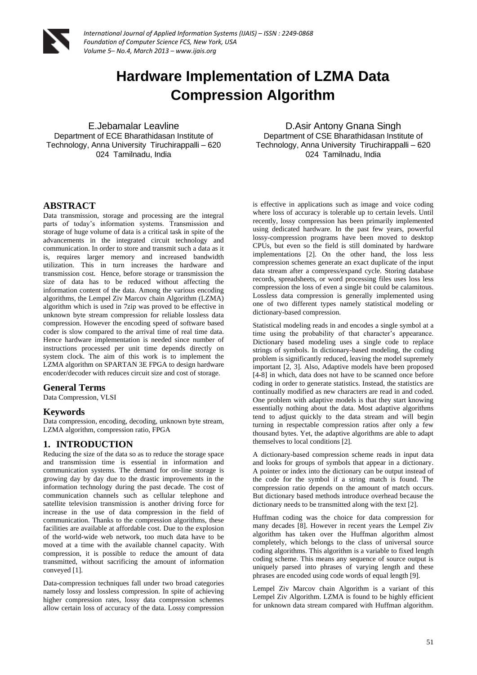

# **Hardware Implementation of LZMA Data Compression Algorithm**

E.Jebamalar Leavline Department of ECE Bharathidasan Institute of Technology, Anna University Tiruchirappalli – 620 024 Tamilnadu, India

D.Asir Antony Gnana Singh Department of CSE Bharathidasan Institute of Technology, Anna University Tiruchirappalli – 620 024 Tamilnadu, India

# **ABSTRACT**

Data transmission, storage and processing are the integral parts of today's information systems. Transmission and storage of huge volume of data is a critical task in spite of the advancements in the integrated circuit technology and communication. In order to store and transmit such a data as it is, requires larger memory and increased bandwidth utilization. This in turn increases the hardware and transmission cost. Hence, before storage or transmission the size of data has to be reduced without affecting the information content of the data. Among the various encoding algorithms, the Lempel Ziv Marcov chain Algorithm (LZMA) algorithm which is used in 7zip was proved to be effective in unknown byte stream compression for reliable lossless data compression. However the encoding speed of software based coder is slow compared to the arrival time of real time data. Hence hardware implementation is needed since number of instructions processed per unit time depends directly on system clock. The aim of this work is to implement the LZMA algorithm on SPARTAN 3E FPGA to design hardware encoder/decoder with reduces circuit size and cost of storage.

#### **General Terms**

Data Compression, VLSI

#### **Keywords**

Data compression, encoding, decoding, unknown byte stream, LZMA algorithm, compression ratio, FPGA

# **1. INTRODUCTION**

Reducing the size of the data so as to reduce the storage space and transmission time is essential in information and communication systems. The demand for on-line storage is growing day by day due to the drastic improvements in the information technology during the past decade. The cost of communication channels such as cellular telephone and satellite television transmission is another driving force for increase in the use of data compression in the field of communication. Thanks to the compression algorithms, these facilities are available at affordable cost. Due to the explosion of the world-wide web network, too much data have to be moved at a time with the available channel capacity. With compression, it is possible to reduce the amount of data transmitted, without sacrificing the amount of information conveyed [1].

Data-compression techniques fall under two broad categories namely lossy and lossless compression. In spite of achieving higher compression rates, lossy data compression schemes allow certain loss of accuracy of the data. Lossy compression

is effective in applications such as image and voice coding where loss of accuracy is tolerable up to certain levels. Until recently, lossy compression has been primarily implemented using dedicated hardware. In the past few years, powerful lossy-compression programs have been moved to desktop CPUs, but even so the field is still dominated by hardware implementations [2]. On the other hand, the loss less compression schemes generate an exact duplicate of the input data stream after a compress/expand cycle. Storing database records, spreadsheets, or word processing files uses loss less compression the loss of even a single bit could be calamitous. Lossless data compression is generally implemented using one of two different types namely statistical modeling or dictionary-based compression.

Statistical modeling reads in and encodes a single symbol at a time using the probability of that character's appearance. Dictionary based modeling uses a single code to replace strings of symbols. In dictionary-based modeling, the coding problem is significantly reduced, leaving the model supremely important [2, 3]. Also, Adaptive models have been proposed [4-8] in which, data does not have to be scanned once before coding in order to generate statistics. Instead, the statistics are continually modified as new characters are read in and coded. One problem with adaptive models is that they start knowing essentially nothing about the data. Most adaptive algorithms tend to adjust quickly to the data stream and will begin turning in respectable compression ratios after only a few thousand bytes. Yet, the adaptive algorithms are able to adapt themselves to local conditions [2].

A dictionary-based compression scheme reads in input data and looks for groups of symbols that appear in a dictionary. A pointer or index into the dictionary can be output instead of the code for the symbol if a string match is found. The compression ratio depends on the amount of match occurs. But dictionary based methods introduce overhead because the dictionary needs to be transmitted along with the text [2].

Huffman coding was the choice for data compression for many decades [8]. However in recent years the Lempel Ziv algorithm has taken over the Huffman algorithm almost completely, which belongs to the class of universal source coding algorithms. This algorithm is a variable to fixed length coding scheme. This means any sequence of source output is uniquely parsed into phrases of varying length and these phrases are encoded using code words of equal length [9].

Lempel Ziv Marcov chain Algorithm is a variant of this Lempel Ziv Algorithm. LZMA is found to be highly efficient for unknown data stream compared with Huffman algorithm.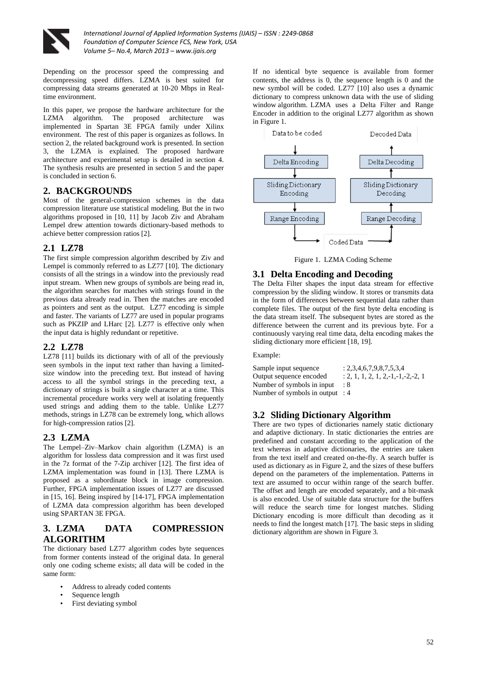

Depending on the processor speed the compressing and decompressing speed differs. LZMA is best suited for compressing data streams generated at 10-20 Mbps in Realtime environment.

In this paper, we propose the hardware architecture for the LZMA algorithm. The proposed architecture was implemented in Spartan 3E FPGA family under Xilinx environment. The rest of this paper is organizes as follows. In section 2, the related background work is presented. In section 3, the LZMA is explained. The proposed hardware architecture and experimental setup is detailed in section 4. The synthesis results are presented in section 5 and the paper is concluded in section 6.

# **2. BACKGROUNDS**

Most of the general-compression schemes in the data compression literature use statistical modeling. But the in two algorithms proposed in [10, 11] by Jacob Ziv and Abraham Lempel drew attention towards dictionary-based methods to achieve better compression ratios [2].

# **2.1 LZ78**

The first simple compression algorithm described by Ziv and Lempel is commonly referred to as LZ77 [10]. The dictionary consists of all the strings in a window into the previously read input stream. When new groups of symbols are being read in, the algorithm searches for matches with strings found in the previous data already read in. Then the matches are encoded as pointers and sent as the output. LZ77 encoding is simple and faster. The variants of LZ77 are used in popular programs such as PKZIP and LHarc [2]. LZ77 is effective only when the input data is highly redundant or repetitive.

# **2.2 LZ78**

LZ78 [11] builds its dictionary with of all of the previously seen symbols in the input text rather than having a limitedsize window into the preceding text. But instead of having access to all the symbol strings in the preceding text, a dictionary of strings is built a single character at a time. This incremental procedure works very well at isolating frequently used strings and adding them to the table. Unlike LZ77 methods, strings in LZ78 can be extremely long, which allows for high-compression ratios [2].

# **2.3 LZMA**

The Lempel–Ziv–Markov chain algorithm (LZMA) is an algorithm for lossless data compression and it was first used in the 7z format of the 7-Zip archiver [12]. The first idea of LZMA implementation was found in [13]. There LZMA is proposed as a subordinate block in image compression. Further, FPGA implementation issues of LZ77 are discussed in [15, 16]. Being inspired by [14-17], FPGA implementation of LZMA data compression algorithm has been developed using SPARTAN 3E FPGA.

# **3. LZMA DATA COMPRESSION ALGORITHM**

The dictionary based LZ77 algorithm codes byte sequences from former contents instead of the original data. In general only one coding scheme exists; all data will be coded in the same form:

- Address to already coded contents
- Sequence length
- First deviating symbol

If no identical byte sequence is available from former contents, the address is 0, the sequence length is 0 and the new symbol will be coded. LZ77 [10] also uses a dynamic dictionary to compress unknown data with the use of sliding window algorithm. LZMA uses a Delta Filter and Range Encoder in addition to the original LZ77 algorithm as shown in Figure 1.



Figure 1. LZMA Coding Scheme

#### **3.1 Delta Encoding and Decoding**

The Delta Filter shapes the input data stream for effective compression by the sliding window. It stores or transmits data in the form of differences between sequential data rather than complete files. The output of the first byte delta encoding is the data stream itself. The subsequent bytes are stored as the difference between the current and its previous byte. For a continuously varying real time data, delta encoding makes the sliding dictionary more efficient [18, 19].

Example:

| Sample input sequence             | : 2,3,4,6,7,9,8,7,5,3,4                 |
|-----------------------------------|-----------------------------------------|
| Output sequence encoded           | $: 2, 1, 1, 2, 1, 2, -1, -1, -2, -2, 1$ |
| Number of symbols in input        | : 8                                     |
| Number of symbols in output $: 4$ |                                         |

# **3.2 Sliding Dictionary Algorithm**

There are two types of dictionaries namely static dictionary and adaptive dictionary. In static dictionaries the entries are predefined and constant according to the application of the text whereas in adaptive dictionaries, the entries are taken from the text itself and created on-the-fly. A search buffer is used as dictionary as in Figure 2, and the sizes of these buffers depend on the parameters of the implementation. Patterns in text are assumed to occur within range of the search buffer. The offset and length are encoded separately, and a bit-mask is also encoded. Use of suitable data structure for the buffers will reduce the search time for longest matches. Sliding Dictionary encoding is more difficult than decoding as it needs to find the longest match [17]. The basic steps in sliding dictionary algorithm are shown in Figure 3.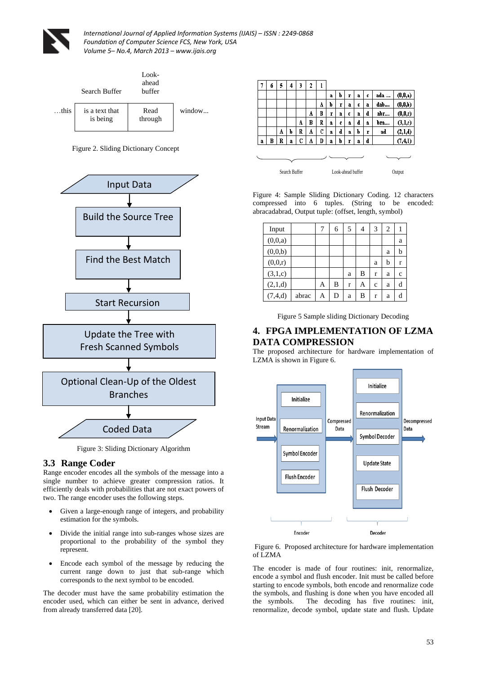



Figure 2. Sliding Dictionary Concept



Figure 3: Sliding Dictionary Algorithm

#### **3.3 Range Coder**

Range encoder encodes all the symbols of the message into a single number to achieve greater compression ratios. It efficiently deals with probabilities that are not exact powers of two. The range encoder uses the following steps.

- Given a large-enough range of integers, and probability estimation for the symbols.
- Divide the initial range into sub-ranges whose sizes are proportional to the probability of the symbol they represent.
- Encode each symbol of the message by reducing the current range down to just that sub-range which corresponds to the next symbol to be encoded.

The decoder must have the same probability estimation the encoder used, which can either be sent in advance, derived from already transferred data [20].

|   | б | 5 | 4 | 3 | 2 | ı |   |   |   |   |   |     |         |
|---|---|---|---|---|---|---|---|---|---|---|---|-----|---------|
|   |   |   |   |   |   |   | a | b | r | a | c | ada | (0,0,a) |
|   |   |   |   |   |   | A | þ | r | a | c | a | dab | (0,0,b) |
|   |   |   |   |   | A | B | r | a | C | a | d | ађг | (0,0,r) |
|   |   |   |   | A | B | R | a | C | a | d | a | bra | (3,1,c) |
|   |   | A | b | R | A | C | a | d | a | b | Ţ | ad  | (2,1,d) |
| a | B | R | å | C | A | D | a | b | r | a | d |     | (7,4,1) |
|   |   |   |   |   |   |   |   |   |   |   |   |     |         |
|   |   |   |   |   |   |   |   |   |   |   |   |     |         |

Figure 4: Sample Sliding Dictionary Coding. 12 characters compressed into 6 tuples. (String to be encoded: abracadabrad, Output tuple: (offset, length, symbol)

| Input   |       |   | 6 | 5 | 4 | 3 | 2 |   |
|---------|-------|---|---|---|---|---|---|---|
| (0,0,a) |       |   |   |   |   |   |   | a |
| (0,0,b) |       |   |   |   |   |   | a | b |
| (0,0,r) |       |   |   |   |   | a | b | r |
| (3,1,c) |       |   |   | a | B | r | a | c |
| (2,1,d) |       | Α | B | r | Α | c | a | d |
| (7,4,d) | abrac | A | D | a | B | r | a |   |

Figure 5 Sample sliding Dictionary Decoding

# **4. FPGA IMPLEMENTATION OF LZMA DATA COMPRESSION**

The proposed architecture for hardware implementation of LZMA is shown in Figure 6.



Figure 6. Proposed architecture for hardware implementation of LZMA

The encoder is made of four routines: init, renormalize, encode a symbol and flush encoder. Init must be called before starting to encode symbols, both encode and renormalize code the symbols, and flushing is done when you have encoded all the symbols. The decoding has five routines: init, renormalize, decode symbol, update state and flush. Update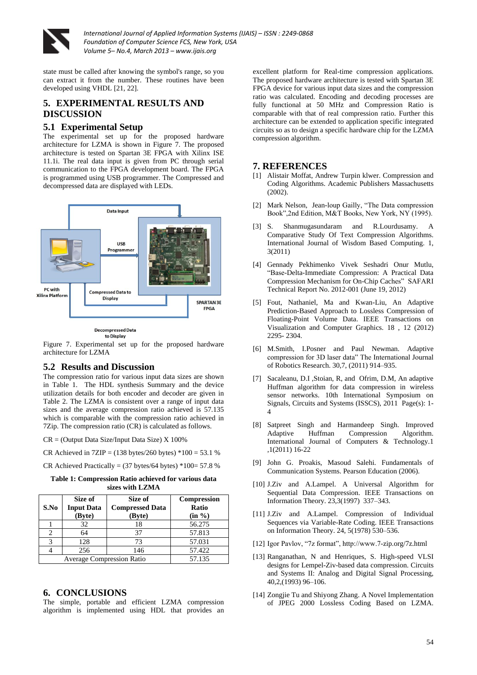

state must be called after knowing the symbol's range, so you can extract it from the number. These routines have been developed using VHDL [21, 22].

# **5. EXPERIMENTAL RESULTS AND DISCUSSION**

### **5.1 Experimental Setup**

The experimental set up for the proposed hardware architecture for LZMA is shown in Figure 7. The proposed architecture is tested on Spartan 3E FPGA with Xilinx ISE 11.1i. The real data input is given from PC through serial communication to the FPGA development board. The FPGA is programmed using USB programmer. The Compressed and decompressed data are displayed with LEDs.



**Decompressed Data** to Display

Figure 7. Experimental set up for the proposed hardware architecture for LZMA

# **5.2 Results and Discussion**

The compression ratio for various input data sizes are shown in Table 1. The HDL synthesis Summary and the device utilization details for both encoder and decoder are given in Table 2. The LZMA is consistent over a range of input data sizes and the average compression ratio achieved is 57.135 which is comparable with the compression ratio achieved in 7Zip. The compression ratio (CR) is calculated as follows.

CR = (Output Data Size/Input Data Size) X 100%

CR Achieved in  $7ZIP = (138 \text{ bytes}/260 \text{ bytes}) *100 = 53.1 \%$ 

CR Achieved Practically =  $(37 \text{ bytes}/64 \text{ bytes}) * 100 = 57.8 %$ 

**Table 1: Compression Ratio achieved for various data sizes with LZMA**

| S.No                    | Size of<br><b>Input Data</b><br>(Byte) | Size of<br><b>Compressed Data</b><br>(Byte) | <b>Compression</b><br><b>Ratio</b><br>(in %) |
|-------------------------|----------------------------------------|---------------------------------------------|----------------------------------------------|
|                         | 32                                     | 18                                          | 56.275                                       |
|                         | 64                                     | 37                                          | 57.813                                       |
| $\mathbf{\overline{3}}$ | 128                                    | 73                                          | 57.031                                       |
|                         | 256                                    | 146                                         | 57.422                                       |
|                         | <b>Average Compression Ratio</b>       | 57.135                                      |                                              |

# **6. CONCLUSIONS**

The simple, portable and efficient LZMA compression algorithm is implemented using HDL that provides an excellent platform for Real-time compression applications. The proposed hardware architecture is tested with Spartan 3E FPGA device for various input data sizes and the compression ratio was calculated. Encoding and decoding processes are fully functional at 50 MHz and Compression Ratio is comparable with that of real compression ratio. Further this architecture can be extended to application specific integrated circuits so as to design a specific hardware chip for the LZMA compression algorithm.

### **7. REFERENCES**

- [1] Alistair Moffat, Andrew Turpin klwer. Compression and Coding Algorithms. Academic Publishers Massachusetts (2002).
- [2] Mark Nelson, Jean-loup Gailly, "The Data compression Book",2nd Edition, M&T Books, New York, NY (1995).
- [3] S. Shanmugasundaram and R.Lourdusamy. A Comparative Study Of Text Compression Algorithms. International Journal of Wisdom Based Computing. 1, 3(2011)
- [4] Gennady Pekhimenko Vivek Seshadri Onur Mutlu, "Base-Delta-Immediate Compression: A Practical Data Compression Mechanism for On-Chip Caches" SAFARI Technical Report No. 2012-001 (June 19, 2012)
- [5] Fout, Nathaniel, Ma and Kwan-Liu, An Adaptive Prediction-Based Approach to Lossless Compression of Floating-Point Volume Data. IEEE Transactions on Visualization and Computer Graphics. 18 , 12 (2012) 2295- 2304.
- [6] M.Smith, I.Posner and Paul Newman. Adaptive compression for 3D laser data" The International Journal of Robotics Research. 30,7, (2011) 914–935.
- [7] Sacaleanu, D.I ,Stoian, R, and Ofrim, D.M, An adaptive Huffman algorithm for data compression in wireless sensor networks. 10th International Symposium on Signals, Circuits and Systems (ISSCS), 2011 Page(s): 1- 4
- [8] Satpreet Singh and Harmandeep Singh. Improved Adaptive Huffman Compression Algorithm. International Journal of Computers & Technology.1 ,1(2011) 16-22
- [9] John G. Proakis, Masoud Salehi. Fundamentals of Communication Systems. Pearson Education (2006).
- [10] J.Ziv and A.Lampel. A Universal Algorithm for Sequential Data Compression. IEEE Transactions on Information Theory. 23,3(1997) 337–343.
- [11] J.Ziv and A.Lampel. Compression of Individual Sequences via Variable-Rate Coding. IEEE Transactions on Information Theory. 24, 5(1978) 530–536.
- [12] Igor Pavlov, "7z format", http://www.7-zip.org/7z.html
- [13] Ranganathan, N and Henriques, S. High-speed VLSI designs for Lempel-Ziv-based data compression. Circuits and Systems II: Analog and Digital Signal Processing, 40,2,(1993) 96–106.
- [14] Zongjie Tu and Shiyong Zhang. A Novel Implementation of JPEG 2000 Lossless Coding Based on LZMA.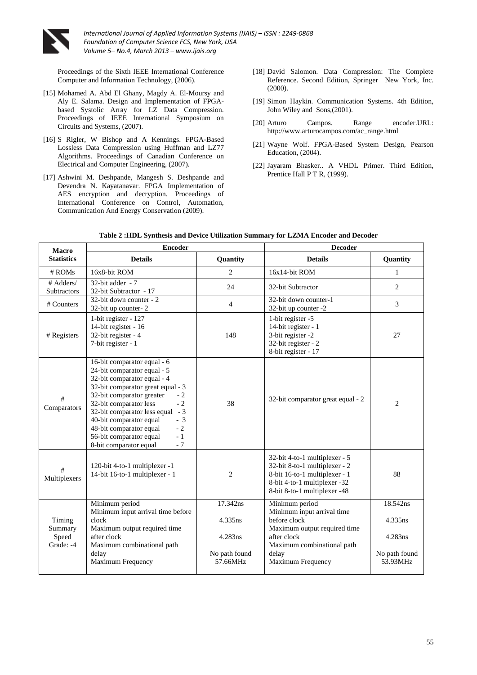

Proceedings of the Sixth IEEE International Conference Computer and Information Technology, (2006).

- [15] Mohamed A. Abd El Ghany, Magdy A. El-Moursy and Aly E. Salama. Design and Implementation of FPGAbased Systolic Array for LZ Data Compression. Proceedings of IEEE International Symposium on Circuits and Systems, (2007).
- [16] S Rigler, W Bishop and A Kennings. FPGA-Based Lossless Data Compression using Huffman and LZ77 Algorithms. Proceedings of Canadian Conference on Electrical and Computer Engineering, (2007).
- [17] Ashwini M. Deshpande, Mangesh S. Deshpande and Devendra N. Kayatanavar. FPGA Implementation of AES encryption and decryption. Proceedings of International Conference on Control, Automation, Communication And Energy Conservation (2009).
- [18] David Salomon. Data Compression: The Complete Reference. Second Edition, Springer New York, Inc. (2000).
- [19] Simon Haykin. Communication Systems. 4th Edition, John Wiley and Sons,(2001).
- [20] Arturo Campos. Range encoder.URL: http://www.arturocampos.com/ac\_range.html
- [21] Wayne Wolf. FPGA-Based System Design, Pearson Education, (2004).
- [22] Jayaram Bhasker.. A VHDL Primer. Third Edition, Prentice Hall P T R, (1999).

| <b>Macro</b>             | <b>Encoder</b>                                                                                                                                                                                                                                                                                                                                                                           |                                      | <b>Decoder</b>                                                                                                                                                  |                                      |  |
|--------------------------|------------------------------------------------------------------------------------------------------------------------------------------------------------------------------------------------------------------------------------------------------------------------------------------------------------------------------------------------------------------------------------------|--------------------------------------|-----------------------------------------------------------------------------------------------------------------------------------------------------------------|--------------------------------------|--|
| <b>Statistics</b>        | <b>Details</b><br><b>Quantity</b>                                                                                                                                                                                                                                                                                                                                                        |                                      | <b>Details</b>                                                                                                                                                  | Quantity                             |  |
| $#$ ROMs                 | 16x8-bit ROM                                                                                                                                                                                                                                                                                                                                                                             | 2                                    | 16x14-bit ROM                                                                                                                                                   | 1                                    |  |
| # Adders/<br>Subtractors | 32-bit adder - 7<br>32-bit Subtractor - 17                                                                                                                                                                                                                                                                                                                                               | 24                                   | 32-bit Subtractor                                                                                                                                               | $\overline{2}$                       |  |
| # Counters               | 32-bit down counter - 2<br>32-bit up counter-2                                                                                                                                                                                                                                                                                                                                           | $\overline{4}$                       | 32-bit down counter-1<br>32-bit up counter -2                                                                                                                   | 3                                    |  |
| # Registers              | 1-bit register - 127<br>14-bit register - 16<br>32-bit register - 4<br>7-bit register - 1                                                                                                                                                                                                                                                                                                | 148                                  | 1-bit register -5<br>14-bit register - 1<br>3-bit register -2<br>32-bit register - 2<br>8-bit register - 17                                                     | 27                                   |  |
| #<br>Comparators         | 16-bit comparator equal - 6<br>24-bit comparator equal - 5<br>32-bit comparator equal - 4<br>32-bit comparator great equal - 3<br>32-bit comparator greater<br>$-2$<br>$-2$<br>32-bit comparator less<br>$-3$<br>32-bit comparator less equal<br>40-bit comparator equal<br>$-3$<br>48-bit comparator equal<br>$-2$<br>56-bit comparator equal<br>$-1$<br>$-7$<br>8-bit comparator equal | 38                                   | 32-bit comparator great equal - 2                                                                                                                               | 2                                    |  |
| #<br>Multiplexers        | 120-bit 4-to-1 multiplexer -1<br>14-bit 16-to-1 multiplexer - 1                                                                                                                                                                                                                                                                                                                          | $\overline{2}$                       | 32-bit 4-to-1 multiplexer - 5<br>32-bit 8-to-1 multiplexer - 2<br>8-bit 16-to-1 multiplexer - 1<br>8-bit 4-to-1 multiplexer -32<br>8-bit 8-to-1 multiplexer -48 | 88                                   |  |
|                          | Minimum period                                                                                                                                                                                                                                                                                                                                                                           | 17.342ns                             | Minimum period                                                                                                                                                  | 18.542ns                             |  |
| Timing<br>Summary        | Minimum input arrival time before<br>clock<br>Maximum output required time                                                                                                                                                                                                                                                                                                               | 4.335ns                              | Minimum input arrival time<br>before clock<br>Maximum output required time                                                                                      | 4.335ns                              |  |
| Speed<br>Grade: -4       | after clock<br>Maximum combinational path<br>delay<br>Maximum Frequency                                                                                                                                                                                                                                                                                                                  | 4.283ns<br>No path found<br>57.66MHz | after clock<br>Maximum combinational path<br>delay<br><b>Maximum Frequency</b>                                                                                  | 4.283ns<br>No path found<br>53.93MHz |  |

| Table 2 :HDL Synthesis and Device Utilization Summary for LZMA Encoder and Decoder |  |
|------------------------------------------------------------------------------------|--|
|------------------------------------------------------------------------------------|--|